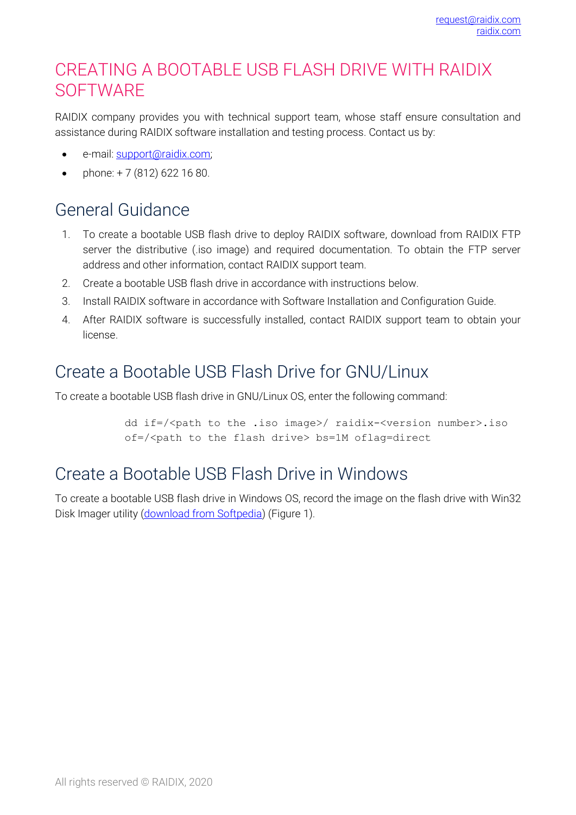## CREATING A BOOTABLE USB FLASH DRIVE WITH RAIDIX **SOFTWARE**

RAIDIX company provides you with technical support team, whose staff ensure consultation and assistance during RAIDIX software installation and testing process. Contact us by:

- e-mail: [support@raidix.com;](support@raidix.com)
- phone:  $+ 7 (812) 622 16 80$ .

# General Guidance

- 1. To create a bootable USB flash drive to deploy RAIDIX software, download from RAIDIX FTP server the distributive (.iso image) and required documentation. To obtain the FTP server address and other information, contact RAIDIX support team.
- 2. Create a bootable USB flash drive in accordance with instructions below.
- 3. Install RAIDIX software in accordance with Software Installation and Configuration Guide.
- 4. After RAIDIX software is successfully installed, contact RAIDIX support team to obtain your license.

## Create a Bootable USB Flash Drive for GNU/Linux

To create a bootable USB flash drive in GNU/Linux OS, enter the following command:

dd if=/<path to the .iso image>/ raidix-<version number>.iso of=/<path to the flash drive> bs=1M oflag=direct

## Create a Bootable USB Flash Drive in Windows

To create a bootable USB flash drive in Windows OS, record the image on the flash drive with Win32 Disk Imager utility [\(download from Softpedia\)](http://www.softpedia.com/get/CD-DVD-Tools/Data-CD-DVD-Burning/Win32-Disk-Imager.shtml) [\(Figure](#page-1-0) 1).